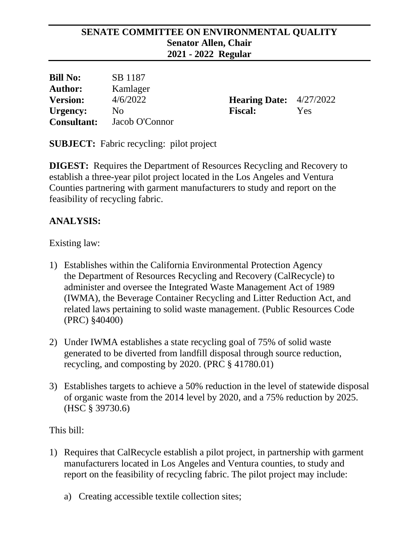### **SENATE COMMITTEE ON ENVIRONMENTAL QUALITY Senator Allen, Chair 2021 - 2022 Regular**

| <b>Bill No:</b>    | SB 1187        |                                  |     |
|--------------------|----------------|----------------------------------|-----|
| <b>Author:</b>     | Kamlager       |                                  |     |
| <b>Version:</b>    | 4/6/2022       | <b>Hearing Date:</b> $4/27/2022$ |     |
| Urgency:           | No.            | <b>Fiscal:</b>                   | Yes |
| <b>Consultant:</b> | Jacob O'Connor |                                  |     |

**SUBJECT:** Fabric recycling: pilot project

**DIGEST:** Requires the Department of Resources Recycling and Recovery to establish a three-year pilot project located in the Los Angeles and Ventura Counties partnering with garment manufacturers to study and report on the feasibility of recycling fabric.

# **ANALYSIS:**

Existing law:

- 1) Establishes within the California Environmental Protection Agency the Department of Resources Recycling and Recovery (CalRecycle) to administer and oversee the Integrated Waste Management Act of 1989 (IWMA), the Beverage Container Recycling and Litter Reduction Act, and related laws pertaining to solid waste management. (Public Resources Code (PRC) §40400)
- 2) Under IWMA establishes a state recycling goal of 75% of solid waste generated to be diverted from landfill disposal through source reduction, recycling, and composting by 2020. (PRC § 41780.01)
- 3) Establishes targets to achieve a 50% reduction in the level of statewide disposal of organic waste from the 2014 level by 2020, and a 75% reduction by 2025. (HSC § 39730.6)

This bill:

- 1) Requires that CalRecycle establish a pilot project, in partnership with garment manufacturers located in Los Angeles and Ventura counties, to study and report on the feasibility of recycling fabric. The pilot project may include:
	- a) Creating accessible textile collection sites;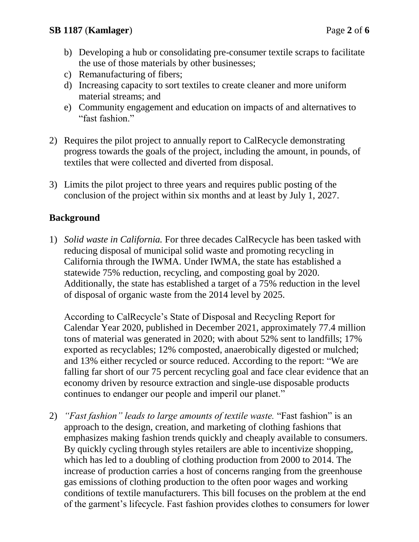- b) Developing a hub or consolidating pre-consumer textile scraps to facilitate the use of those materials by other businesses;
- c) Remanufacturing of fibers;
- d) Increasing capacity to sort textiles to create cleaner and more uniform material streams; and
- e) Community engagement and education on impacts of and alternatives to "fast fashion."
- 2) Requires the pilot project to annually report to CalRecycle demonstrating progress towards the goals of the project, including the amount, in pounds, of textiles that were collected and diverted from disposal.
- 3) Limits the pilot project to three years and requires public posting of the conclusion of the project within six months and at least by July 1, 2027.

## **Background**

1) *Solid waste in California.* For three decades CalRecycle has been tasked with reducing disposal of municipal solid waste and promoting recycling in California through the IWMA. Under IWMA, the state has established a statewide 75% reduction, recycling, and composting goal by 2020. Additionally, the state has established a target of a 75% reduction in the level of disposal of organic waste from the 2014 level by 2025.

According to CalRecycle's State of Disposal and Recycling Report for Calendar Year 2020, published in December 2021, approximately 77.4 million tons of material was generated in 2020; with about 52% sent to landfills; 17% exported as recyclables; 12% composted, anaerobically digested or mulched; and 13% either recycled or source reduced. According to the report: "We are falling far short of our 75 percent recycling goal and face clear evidence that an economy driven by resource extraction and single-use disposable products continues to endanger our people and imperil our planet."

2) *"Fast fashion" leads to large amounts of textile waste.* "Fast fashion" is an approach to the design, creation, and marketing of clothing fashions that emphasizes making fashion trends quickly and cheaply available to consumers. By quickly cycling through styles retailers are able to incentivize shopping, which has led to a doubling of clothing production from 2000 to 2014. The increase of production carries a host of concerns ranging from the greenhouse gas emissions of clothing production to the often poor wages and working conditions of textile manufacturers. This bill focuses on the problem at the end of the garment's lifecycle. Fast fashion provides clothes to consumers for lower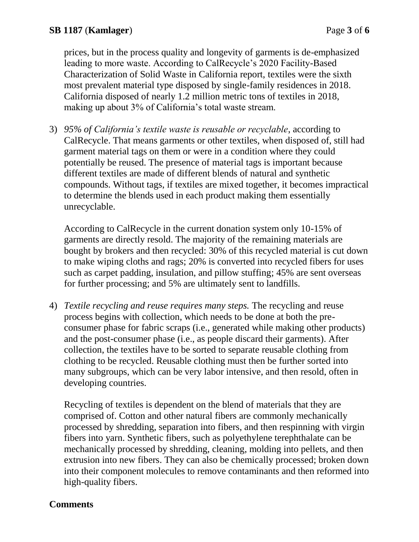prices, but in the process quality and longevity of garments is de-emphasized leading to more waste. According to CalRecycle's 2020 Facility-Based Characterization of Solid Waste in California report, textiles were the sixth most prevalent material type disposed by single-family residences in 2018. California disposed of nearly 1.2 million metric tons of textiles in 2018, making up about 3% of California's total waste stream.

3) *95% of California's textile waste is reusable or recyclable*, according to CalRecycle. That means garments or other textiles, when disposed of, still had garment material tags on them or were in a condition where they could potentially be reused. The presence of material tags is important because different textiles are made of different blends of natural and synthetic compounds. Without tags, if textiles are mixed together, it becomes impractical to determine the blends used in each product making them essentially unrecyclable.

According to CalRecycle in the current donation system only 10-15% of garments are directly resold. The majority of the remaining materials are bought by brokers and then recycled: 30% of this recycled material is cut down to make wiping cloths and rags; 20% is converted into recycled fibers for uses such as carpet padding, insulation, and pillow stuffing; 45% are sent overseas for further processing; and 5% are ultimately sent to landfills.

4) *Textile recycling and reuse requires many steps.* The recycling and reuse process begins with collection, which needs to be done at both the preconsumer phase for fabric scraps (i.e., generated while making other products) and the post-consumer phase (i.e., as people discard their garments). After collection, the textiles have to be sorted to separate reusable clothing from clothing to be recycled. Reusable clothing must then be further sorted into many subgroups, which can be very labor intensive, and then resold, often in developing countries.

Recycling of textiles is dependent on the blend of materials that they are comprised of. Cotton and other natural fibers are commonly mechanically processed by shredding, separation into fibers, and then respinning with virgin fibers into yarn. Synthetic fibers, such as polyethylene terephthalate can be mechanically processed by shredding, cleaning, molding into pellets, and then extrusion into new fibers. They can also be chemically processed; broken down into their component molecules to remove contaminants and then reformed into high-quality fibers.

### **Comments**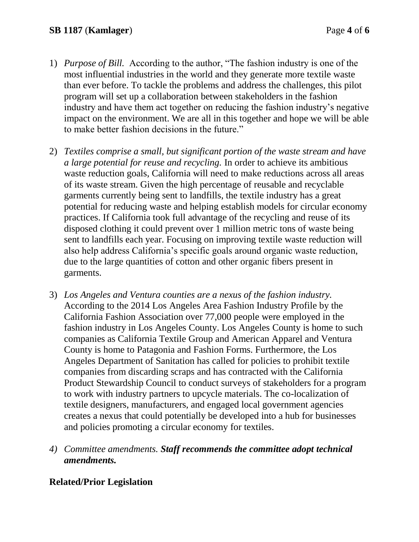- 1) *Purpose of Bill.* According to the author, "The fashion industry is one of the most influential industries in the world and they generate more textile waste than ever before. To tackle the problems and address the challenges, this pilot program will set up a collaboration between stakeholders in the fashion industry and have them act together on reducing the fashion industry's negative impact on the environment. We are all in this together and hope we will be able to make better fashion decisions in the future."
- 2) *Textiles comprise a small, but significant portion of the waste stream and have a large potential for reuse and recycling.* In order to achieve its ambitious waste reduction goals, California will need to make reductions across all areas of its waste stream. Given the high percentage of reusable and recyclable garments currently being sent to landfills, the textile industry has a great potential for reducing waste and helping establish models for circular economy practices. If California took full advantage of the recycling and reuse of its disposed clothing it could prevent over 1 million metric tons of waste being sent to landfills each year. Focusing on improving textile waste reduction will also help address California's specific goals around organic waste reduction, due to the large quantities of cotton and other organic fibers present in garments.
- 3) *Los Angeles and Ventura counties are a nexus of the fashion industry.* According to the 2014 Los Angeles Area Fashion Industry Profile by the California Fashion Association over 77,000 people were employed in the fashion industry in Los Angeles County. Los Angeles County is home to such companies as California Textile Group and American Apparel and Ventura County is home to Patagonia and Fashion Forms. Furthermore, the Los Angeles Department of Sanitation has called for policies to prohibit textile companies from discarding scraps and has contracted with the California Product Stewardship Council to conduct surveys of stakeholders for a program to work with industry partners to upcycle materials. The co-localization of textile designers, manufacturers, and engaged local government agencies creates a nexus that could potentially be developed into a hub for businesses and policies promoting a circular economy for textiles.
- *4) Committee amendments. Staff recommends the committee adopt technical amendments.*

### **Related/Prior Legislation**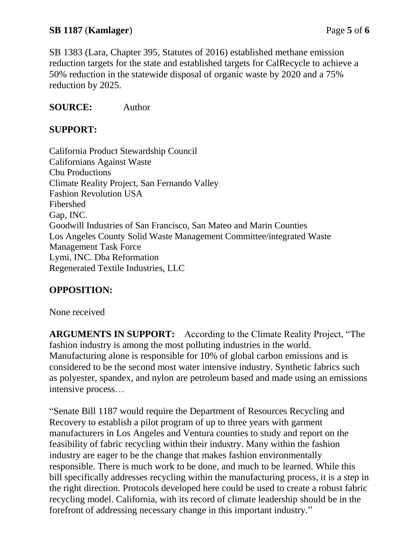### **SB 1187** (**Kamlager**) Page **5** of **6**

SB 1383 (Lara, Chapter 395, Statutes of 2016) established methane emission reduction targets for the state and established targets for CalRecycle to achieve a 50% reduction in the statewide disposal of organic waste by 2020 and a 75% reduction by 2025.

#### **SOURCE:** Author

#### **SUPPORT:**

California Product Stewardship Council Californians Against Waste Cbu Productions Climate Reality Project, San Fernando Valley Fashion Revolution USA Fibershed Gap, INC. Goodwill Industries of San Francisco, San Mateo and Marin Counties Los Angeles County Solid Waste Management Committee/integrated Waste Management Task Force Lymi, INC. Dba Reformation Regenerated Textile Industries, LLC

### **OPPOSITION:**

None received

**ARGUMENTS IN SUPPORT:** According to the Climate Reality Project, "The fashion industry is among the most polluting industries in the world. Manufacturing alone is responsible for 10% of global carbon emissions and is considered to be the second most water intensive industry. Synthetic fabrics such as polyester, spandex, and nylon are petroleum based and made using an emissions intensive process…

"Senate Bill 1187 would require the Department of Resources Recycling and Recovery to establish a pilot program of up to three years with garment manufacturers in Los Angeles and Ventura counties to study and report on the feasibility of fabric recycling within their industry. Many within the fashion industry are eager to be the change that makes fashion environmentally responsible. There is much work to be done, and much to be learned. While this bill specifically addresses recycling within the manufacturing process, it is a step in the right direction. Protocols developed here could be used to create a robust fabric recycling model. California, with its record of climate leadership should be in the forefront of addressing necessary change in this important industry."